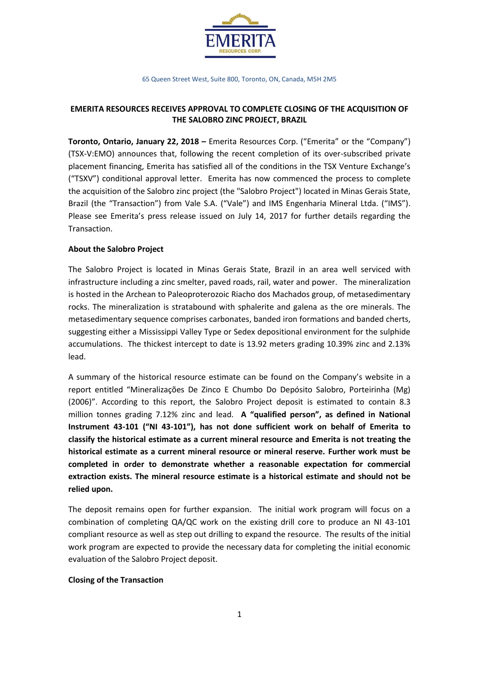

65 Queen Street West, Suite 800, Toronto, ON, Canada, M5H 2M5

# **EMERITA RESOURCES RECEIVES APPROVAL TO COMPLETE CLOSING OF THE ACQUISITION OF THE SALOBRO ZINC PROJECT, BRAZIL**

**Toronto, Ontario, January 22, 2018 –** Emerita Resources Corp. ("Emerita" or the "Company") (TSX-V:EMO) announces that, following the recent completion of its over-subscribed private placement financing, Emerita has satisfied all of the conditions in the TSX Venture Exchange's ("TSXV") conditional approval letter. Emerita has now commenced the process to complete the acquisition of the Salobro zinc project (the "Salobro Project") located in Minas Gerais State, Brazil (the "Transaction") from Vale S.A. ("Vale") and IMS Engenharia Mineral Ltda. ("IMS"). Please see Emerita's press release issued on July 14, 2017 for further details regarding the Transaction.

## **About the Salobro Project**

The Salobro Project is located in Minas Gerais State, Brazil in an area well serviced with infrastructure including a zinc smelter, paved roads, rail, water and power. The mineralization is hosted in the Archean to Paleoproterozoic Riacho dos Machados group, of metasedimentary rocks. The mineralization is stratabound with sphalerite and galena as the ore minerals. The metasedimentary sequence comprises carbonates, banded iron formations and banded cherts, suggesting either a Mississippi Valley Type or Sedex depositional environment for the sulphide accumulations. The thickest intercept to date is 13.92 meters grading 10.39% zinc and 2.13% lead.

A summary of the historical resource estimate can be found on the Company's website in a report entitled "Mineralizações De Zinco E Chumbo Do Depósito Salobro, Porteirinha (Mg) (2006)". According to this report, the Salobro Project deposit is estimated to contain 8.3 million tonnes grading 7.12% zinc and lead. **A "qualified person", as defined in National Instrument 43-101 ("NI 43-101"), has not done sufficient work on behalf of Emerita to classify the historical estimate as a current mineral resource and Emerita is not treating the historical estimate as a current mineral resource or mineral reserve. Further work must be completed in order to demonstrate whether a reasonable expectation for commercial extraction exists. The mineral resource estimate is a historical estimate and should not be relied upon.**

The deposit remains open for further expansion. The initial work program will focus on a combination of completing QA/QC work on the existing drill core to produce an NI 43-101 compliant resource as well as step out drilling to expand the resource. The results of the initial work program are expected to provide the necessary data for completing the initial economic evaluation of the Salobro Project deposit.

### **Closing of the Transaction**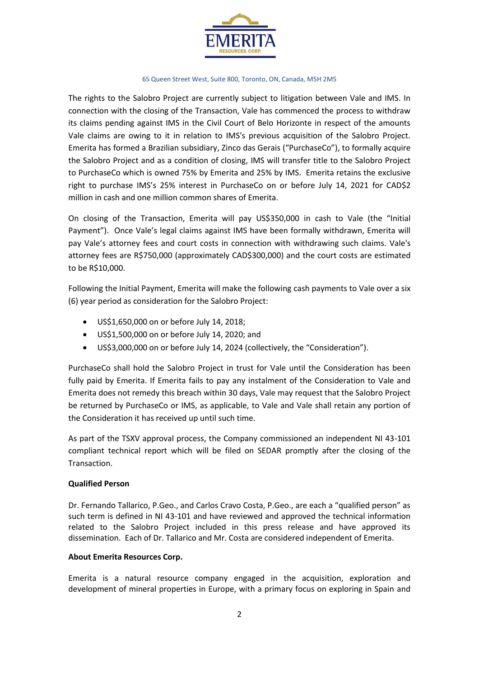

#### 65 Queen Street West, Suite 800, Toronto, ON, Canada, M5H 2M5

The rights to the Salobro Project are currently subject to litigation between Vale and IMS. In connection with the closing of the Transaction, Vale has commenced the process to withdraw its claims pending against IMS in the Civil Court of Belo Horizonte in respect of the amounts Vale claims are owing to it in relation to IMS's previous acquisition of the Salobro Project. Emerita has formed a Brazilian subsidiary, Zinco das Gerais ("PurchaseCo"), to formally acquire the Salobro Project and as a condition of closing, IMS will transfer title to the Salobro Project to PurchaseCo which is owned 75% by Emerita and 25% by IMS. Emerita retains the exclusive right to purchase IMS's 25% interest in PurchaseCo on or before July 14, 2021 for CAD\$2 million in cash and one million common shares of Emerita.

On closing of the Transaction, Emerita will pay US\$350,000 in cash to Vale (the "Initial Payment"). Once Vale's legal claims against IMS have been formally withdrawn, Emerita will pay Vale's attorney fees and court costs in connection with withdrawing such claims. Vale's attorney fees are R\$750,000 (approximately CAD\$300,000) and the court costs are estimated to be R\$10,000.

Following the Initial Payment, Emerita will make the following cash payments to Vale over a six (6) year period as consideration for the Salobro Project:

- US\$1,650,000 on or before July 14, 2018;
- US\$1,500,000 on or before July 14, 2020; and
- US\$3,000,000 on or before July 14, 2024 (collectively, the "Consideration").

PurchaseCo shall hold the Salobro Project in trust for Vale until the Consideration has been fully paid by Emerita. If Emerita fails to pay any instalment of the Consideration to Vale and Emerita does not remedy this breach within 30 days, Vale may request that the Salobro Project be returned by PurchaseCo or IMS, as applicable, to Vale and Vale shall retain any portion of the Consideration it has received up until such time.

As part of the TSXV approval process, the Company commissioned an independent NI 43-101 compliant technical report which will be filed on SEDAR promptly after the closing of the Transaction.

### **Qualified Person**

Dr. Fernando Tallarico, P.Geo., and Carlos Cravo Costa, P.Geo., are each a "qualified person" as such term is defined in NI 43-101 and have reviewed and approved the technical information related to the Salobro Project included in this press release and have approved its dissemination. Each of Dr. Tallarico and Mr. Costa are considered independent of Emerita.

### **About Emerita Resources Corp.**

Emerita is a natural resource company engaged in the acquisition, exploration and development of mineral properties in Europe, with a primary focus on exploring in Spain and